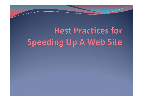# **Best Practices for Speeding Up A Web Site**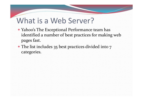#### What is a Web Server?

- Yahoo's The Exceptional Performance team has identified <sup>a</sup> number of best practices for making web pages fast.
- The list includes 35 best practices divided into 7 categories.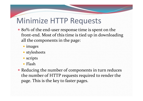- 80% of the end-user response time is spent on the front‐end. Most of this time is tied up in downloading all the components in the page:
	- images
	- stylesheets
	- scripts
	- Flash
- Reducing the number of components in turn reduces the number of HTTP requests required to render the page. This is the key to faster pages.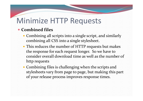#### **Combined files**

- Combining all scripts into <sup>a</sup> single script, and similarly combining all CSS into <sup>a</sup> single stylesheet.
- This reduces the number of HTTP requests but makes the response for each reques<sup>t</sup> longer. So we have to consider overall download time as well as the number of http requests
- Combining files is challenging when the scripts and stylesheets vary from page to page, but making this par<sup>t</sup> of your release process improves response times.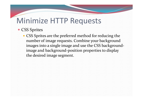- CSS Sprites
	- CSS Sprites are the preferred method for reducing the number of image requests. Combine your background images into <sup>a</sup> single image and use the CSS background‐ image and background‐position properties to display the desired image segment.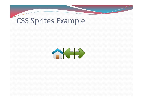#### CSS Sprites Example

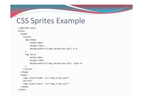#### CSS Sprites Example

```
<!DOCTYPE html><html><head><style>
      img.home{
         width:46px;
         height:44px;
         background:url(img_navsprites.gif) 0 0;
      }
      img.next{
         width:43px;
         height:44px;
         background:url(img_navsprites.gif) -91px 0;
      }
   </style>
  </head>
 <body>
   <img class="home" src="img_trans.gif">
    <br><br>
    <img class="next" src="img_trans.gif">
 </body>
</html>
```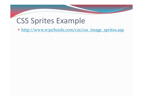#### CSS Sprites Example

• http://www.w3schools.com/css/css\_image\_sprites.asp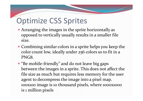#### Optimize CSS Sprites

- Arranging the images in the sprite horizontally as opposed to vertically usually results in <sup>a</sup> smaller file size.
- Combining similar colors in <sup>a</sup> sprite helps you keep the color count low, ideally under 256 colors so to fit in <sup>a</sup> PNG8.
- "Be mobile-friendly" and do not leave big gaps between the images in <sup>a</sup> sprite. This does not affect the file size as much but requires less memory for the user agen<sup>t</sup> to decompress the image into <sup>a</sup> pixel map. 100x100 image is <sup>10</sup> thousand pixels, where 1000x1000 is <sup>1</sup> million pixels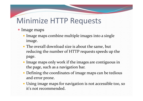#### • Image maps

- Image maps combine multiple images into a single image.
- The overall download size is about the same, but reducing the number of HTTP requests speeds up the page.
- Image maps only work if the images are contiguous in the page, such as <sup>a</sup> navigation bar.
- Defining the coordinates of image maps can be tedious and error prone.
- Using image maps for navigation is not accessible too, so it's not recommended.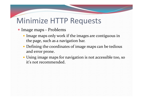- Image maps ‐ Problems
	- Image maps only work if the images are contiguous in the page, such as <sup>a</sup> navigation bar.
	- Defining the coordinates of image maps can be tedious and error prone.
	- Using image maps for navigation is not accessible too, so it's not recommended.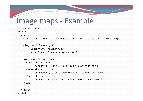#### Image maps ‐ Example

```
<!DOCTYPE html><html><body>
    <p>Click on the sun or on one of the planets to watch it closer:</p>
    <img src="planets.gif" 
         width="145" height="126" 
         alt="Planets" usemap="#planetmap">
    <map name="planetmap">
      <area shape="rect" 
            coords="0,0,82,126" alt="Sun" href="sun.htm">
      <area shape="circle" 
            coords="90,58,3" alt="Mercury" href="mercur.htm">
      <area shape="circle" 
            coords="124,58,8" alt="Venus" href="venus.htm">
    \langle map>
```
</body> </html>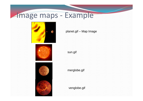# Image maps ‐ Example





planet.gif – Map Image

sun.gif

merglobe.gif

venglobe.gif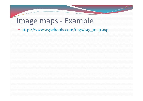#### Image maps ‐ Example

• http://www.w3schools.com/tags/tag\_map.asp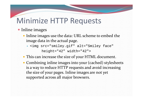- Inline images
	- **Inline images use the data: URL scheme to embed the** image data in the actual page.
		- <img src="smiley.gif" alt="Smiley face"

height="42" width="42">

- This can increase the size of your HTML document.
- Combining inline images into your (cached) stylesheets is a way to reduce HTTP requests and avoid increasing the size of your pages. Inline images are not ye<sup>t</sup> supported across all major browsers.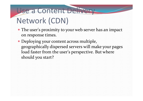# Use <sup>a</sup> Content Delivery Network (CDN)

- The user's proximity to your web server has an impact on response times.
- Deploying your content across multiple, geographically dispersed servers will make your pages load faster from the user's perspective. But where should you start?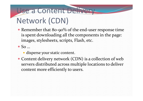# Use <sup>a</sup> Content Delivery Network (CDN)

- Remember that 80-90% of the end-user response time is spen<sup>t</sup> downloading all the components in the page: images, stylesheets, scripts, Flash, etc.
- $\bullet$  So  $\ldots$ 
	- disperse your static content.
- Content delivery network (CDN) is <sup>a</sup> collection of web servers distributed across multiple locations to deliver content more efficiently to users.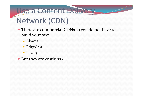# Use <sup>a</sup> Content Delivery Network (CDN)

- There are commercial CDNs so you do not have to build your own
	- Akamai
	- EdgeCast
	- Level3
- But they are costly \$\$\$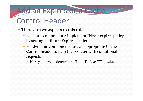#### Add an Expires or a Cache-

# Control Header

- There are two aspects to this rule:
	- For static components: implement "Never expire" policy by setting far future Expires header
	- For dynamic components: use an appropriate Cache‐ Control header to help the browser with conditional requests
		- Here you have to determine <sup>a</sup> Time‐To‐Live (TTL) value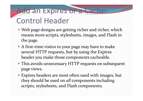#### Add an Expires or a Cache-

# Control Header

- Web page designs are getting richer and richer, which means more scripts, stylesheets, images, and Flash in the page.
- A first-time visitor to your page may have to make several HTTP requests, but by using the Expires header you make those components cacheable.
- This avoids unnecessary HTTP requests on subsequent page views.
- Expires headers are most often used with images, but they should be used on *all* components including scripts, stylesheets, and Flash components.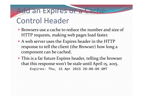# Add an Expires or a Cache-

## Control Header

- Browsers use <sup>a</sup> cache to reduce the number and size of HTTP requests, making web pages load faster.
- A web server uses the Expires header in the HTTP response to tell the client (the Browser) how long <sup>a</sup> componen<sup>t</sup> can be cached.
- This is <sup>a</sup> far future Expires header, telling the browser that this response won't be stale until April 15, 2015. Expires: Thu, 15 Apr 2015 20:00:00 GMT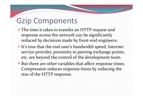## Gzip Components

- The time it takes to transfer an HTTP reques<sup>t</sup> and response across the network can be significantly reduced by decisions made by front ‐end engineers.
- It's true that the end-user's bandwidth speed, Internet service provider, proximity to peering exchange points, etc. are beyond the control of the development team.
- But there are other variables that affect response times. Compression reduces response times by reducing the size of the HTTP response.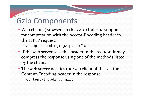# Gzip Components

 Web clients (Browsers in this case) indicate suppor<sup>t</sup> for compression with the Accept ‐Encoding header in the HTTP request.

Accept-Encoding: gzip, deflate

- If the web server sees this header in the request, it *may* compress the response using one of the methods listed by the client.
- The web server notifies the web client of this via the Content ‐Encoding header in the response.

Content-Encoding: gzip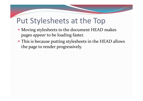#### Put Stylesheets at the Top

- Moving stylesheets to the document HEAD makes pages *appear* to be loading faster.
- This is because putting stylesheets in the HEAD allows the page to render progressively.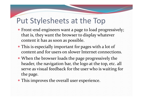#### Put Stylesheets at the Top

- Front‐end engineers want <sup>a</sup> page to load progressively; that is, they want the browser to display whatever content it has as soon as possible.
- This is especially important for pages with <sup>a</sup> lot of content and for users on slower Internet connections.
- When the browser loads the page progressively the header, the navigation bar, the logo at the top, etc. all serve as visual feedback for the user who is waiting for the page.
- This improves the overall user experience.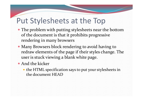#### Put Stylesheets at the Top

- The problem with putting stylesheets near the bottom of the document is that it prohibits progressive rendering in many browsers
- Many Browsers block rendering to avoid having to redraw elements of the page if their styles change. The user is stuck viewing <sup>a</sup> blank white page.
- And the kicker
	- the HTML specification says to pu<sup>t</sup> your stylesheets in the document HEAD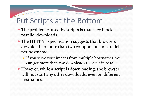#### Put Scripts at the Bottom

- The problem caused by scripts is that they block parallel downloads.
- The HTTP/1.1 specification suggests that browsers download no more than two components in parallel per hostname.
	- If you serve your images from multiple hostnames, you can ge<sup>t</sup> more than two downloads to occur in parallel.
- However, while <sup>a</sup> script is downloading, the browser will not start any other downloads, even on different hostnames.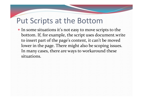#### Put Scripts at the Bottom

 In some situations it's not easy to move scripts to the bottom. If, for example, the script uses document.write to insert par<sup>t</sup> of the page's content, it can't be moved lower in the page. There might also be scoping issues. In many cases, there are ways to workaround these situations.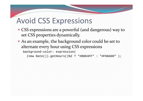### Avoid CSS Expressions

- CSS expressions are <sup>a</sup> powerful (and dangerous) way to set CSS properties dynamically.
- As an example, the background color could be set to alternate every hour using CSS expressions

```
background-color: expression(
```
(new Date()).getHours()%2 ? "#B8D4FF" : "#F08A00" );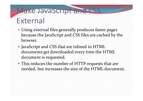## Make JavaScript and CSS External

- Using external files generally produces faster pages because the JavaScript and CSS files are cached by the browser.
- JavaScript and CSS that are inlined in HTML documents ge<sup>t</sup> downloaded every time the HTML document is requested.
- This reduces the number of HTTP requests that are needed, but increases the size of the HTML document.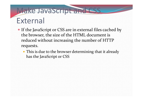# Make JavaScript and CSS External

- If the JavaScript or CSS are in external files cached by the browser, the size of the HTML document is reduced without increasing the number of HTTP requests.
	- This is due to the browser determining that it already has the JavaScript or CSS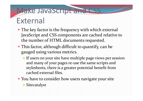#### Make JavaScript and CSS External

- The key factor is the frequency with which external JavaScript and CSS components are cached relative to the number of HTML documents requested.
- This factor, although difficult to quantify, can be gauged using various metrics.
	- If users on your site have multiple page views per session and many of your pages re‐use the same scripts and stylesheets, there is <sup>a</sup> greater potential benefit from cached external files.
- You have to consider how users navigate your site
	- Sitecatalyst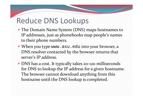#### Reduce DNS Lookups

- The Domain Name System (DNS) maps hostnames to IP addresses, just as phonebooks map people's names to their phone numbers.
- When you type www.asu.edu into your browser, <sup>a</sup> DNS resolver contacted by the browser returns that server's IP address.
- DNS has <sup>a</sup> cost. It typically takes <sup>20</sup>‐<sup>120</sup> milliseconds for DNS to lookup the IP address for <sup>a</sup> given hostname. The browser cannot download anything from this hostname until the DNS lookup is completed.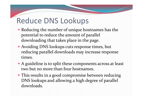## Reduce DNS Lookups

- Reducing the number of unique hostnames has the potential to reduce the amount of parallel downloading that takes place in the page.
- Avoiding DNS lookups cuts response times, but reducing parallel downloads may increase response times.
- A guideline is to split these components across at least two but no more than four hostnames.
- This results in <sup>a</sup> good compromise between reducing DNS lookups and allowing <sup>a</sup> high degree of parallel downloads.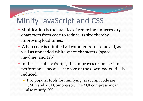# Minify JavaScript and CSS

- Minification is the practice of removing unnecessary characters from code to reduce its size thereby improving load times.
- When code is minified all comments are removed, as well as unneeded white space characters (space, newline, and tab).
- In the case of JavaScript, this improves response time performance because the size of the downloaded file is reduced.
	- Two popular tools for minifying JavaScript code are JSMin and YUI Compressor. The YUI compressor can also minify CSS.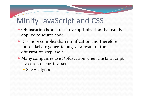# Minify JavaScript and CSS

- Obfuscation is an alternative optimization that can be applied to source code.
- It is more complex than minification and therefore more likely to generate bugs as <sup>a</sup> result of the obfuscation step itself.
- Many companies use Obfuscation when the JavaScript is a core Corporate asset
	- Site Analytics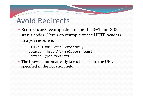## Avoid Redirects

 Redirects are accomplished using the <sup>301</sup> and <sup>302</sup> status codes. Here's an example of the HTTP headers in <sup>a</sup> 301 response:

HTTP/1.1 301 Moved Permanently Location: http://example.com/newuri Content-Type: text/html

 The browser automatically takes the user to the URL specified in the Location field.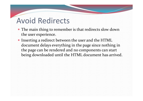# Avoid Redirects

- The main thing to remember is that redirects slow down the user experience.
- **Inserting a redirect between the user and the HTML** document delays everything in the page since nothing in the page can be rendered and no components can start being downloaded until the HTML document has arrived.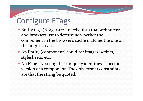# Configure ETags

- Entity tags (ETags) are <sup>a</sup> mechanism that web servers and browsers use to determine whether the componen<sup>t</sup> in the browser's cache matches the one on the origin server.
- An Entity (component) could be: images, scripts, stylesheets, etc.
- An ETag is <sup>a</sup> string that uniquely identifies <sup>a</sup> specific version of <sup>a</sup> component. The only format constraints are that the string be quoted.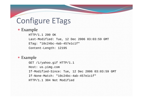# Configure ETags

#### Example

HTTP/1.1 200 OK Last-Modified: Tue, 12 Dec 2006 03:03:59 GMT ETag: "10c24bc-4ab-457e1c1f" Content-Length: 12195

#### Example

GET /i/yahoo.gif HTTP/1.1 Host: us.yimg.com If-Modified-Since: Tue, 12 Dec 2006 03:03:59 GMT If-None-Match: "10c24bc-4ab-457e1c1f"HTTP/1.1 304 Not Modified